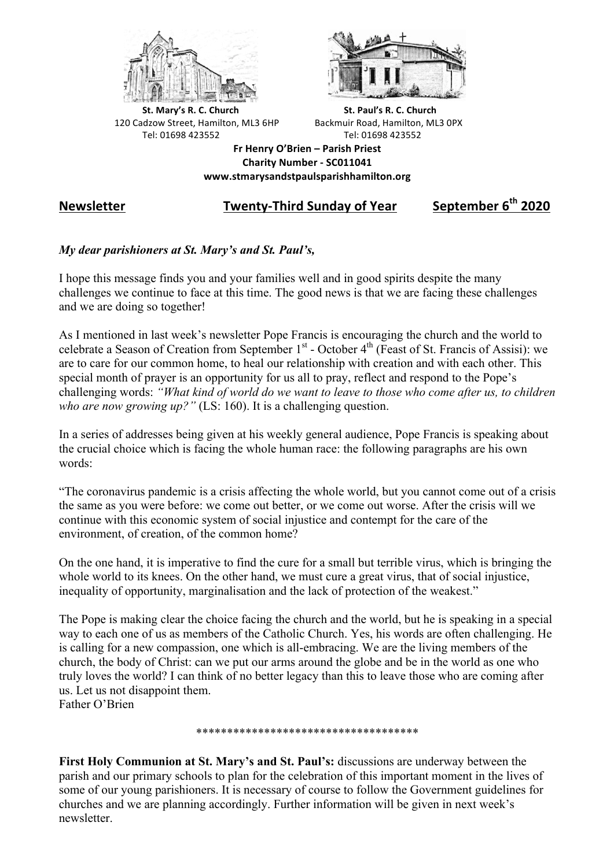



**St.** Mary's R. C. Church St. Paul's R. C. Church 120 Cadzow Street, Hamilton, ML3 6HP Backmuir Road, Hamilton, ML3 0PX Tel: 01698 423552 Tel: 01698 423552

**Fr Henry O'Brien – Parish Priest Charity Number - SC011041 www.stmarysandstpaulsparishhamilton.org**

## **Newsletter Twenty-Third Sunday of Year September 6th 2020**

## *My dear parishioners at St. Mary's and St. Paul's,*

I hope this message finds you and your families well and in good spirits despite the many challenges we continue to face at this time. The good news is that we are facing these challenges and we are doing so together!

As I mentioned in last week's newsletter Pope Francis is encouraging the church and the world to celebrate a Season of Creation from September 1<sup>st</sup> - October 4<sup>th</sup> (Feast of St. Francis of Assisi): we are to care for our common home, to heal our relationship with creation and with each other. This special month of prayer is an opportunity for us all to pray, reflect and respond to the Pope's challenging words: *"What kind of world do we want to leave to those who come after us, to children who are now growing up?"* (LS: 160). It is a challenging question.

In a series of addresses being given at his weekly general audience, Pope Francis is speaking about the crucial choice which is facing the whole human race: the following paragraphs are his own words:

"The coronavirus pandemic is a crisis affecting the whole world, but you cannot come out of a crisis the same as you were before: we come out better, or we come out worse. After the crisis will we continue with this economic system of social injustice and contempt for the care of the environment, of creation, of the common home?

On the one hand, it is imperative to find the cure for a small but terrible virus, which is bringing the whole world to its knees. On the other hand, we must cure a great virus, that of social injustice, inequality of opportunity, marginalisation and the lack of protection of the weakest."

The Pope is making clear the choice facing the church and the world, but he is speaking in a special way to each one of us as members of the Catholic Church. Yes, his words are often challenging. He is calling for a new compassion, one which is all-embracing. We are the living members of the church, the body of Christ: can we put our arms around the globe and be in the world as one who truly loves the world? I can think of no better legacy than this to leave those who are coming after us. Let us not disappoint them. Father O'Brien

\*\*\*\*\*\*\*\*\*\*\*\*\*\*\*\*\*\*\*\*\*\*\*\*\*\*\*\*\*\*\*\*\*\*\*\*

**First Holy Communion at St. Mary's and St. Paul's:** discussions are underway between the parish and our primary schools to plan for the celebration of this important moment in the lives of some of our young parishioners. It is necessary of course to follow the Government guidelines for churches and we are planning accordingly. Further information will be given in next week's newsletter.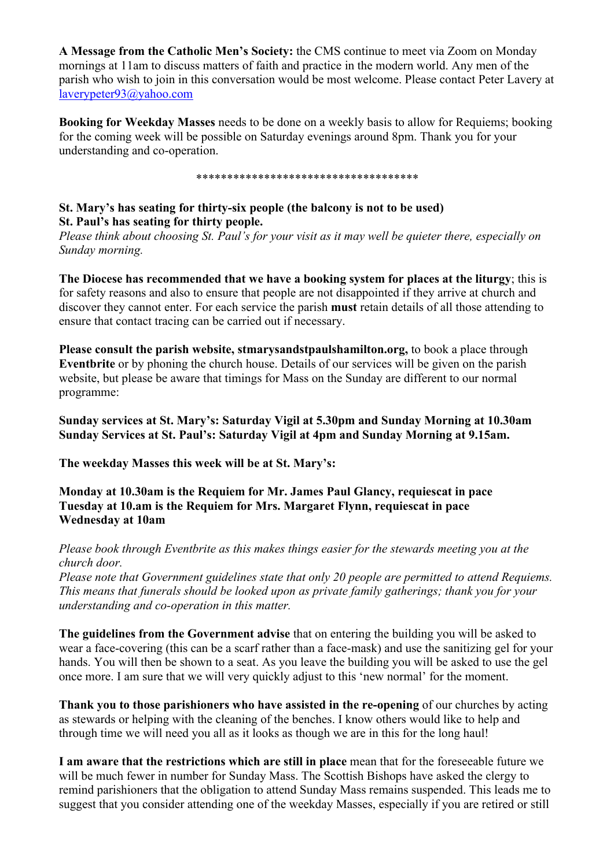**A Message from the Catholic Men's Society:** the CMS continue to meet via Zoom on Monday mornings at 11am to discuss matters of faith and practice in the modern world. Any men of the parish who wish to join in this conversation would be most welcome. Please contact Peter Lavery at laverypeter93@yahoo.com

**Booking for Weekday Masses** needs to be done on a weekly basis to allow for Requiems; booking for the coming week will be possible on Saturday evenings around 8pm. Thank you for your understanding and co-operation.

\*\*\*\*\*\*\*\*\*\*\*\*\*\*\*\*\*\*\*\*\*\*\*\*\*\*\*\*\*\*\*\*\*\*\*\*

## **St. Mary's has seating for thirty-six people (the balcony is not to be used) St. Paul's has seating for thirty people.**

*Please think about choosing St. Paul's for your visit as it may well be quieter there, especially on Sunday morning.*

**The Diocese has recommended that we have a booking system for places at the liturgy**; this is for safety reasons and also to ensure that people are not disappointed if they arrive at church and discover they cannot enter. For each service the parish **must** retain details of all those attending to ensure that contact tracing can be carried out if necessary.

**Please consult the parish website, stmarysandstpaulshamilton.org,** to book a place through **Eventbrite** or by phoning the church house. Details of our services will be given on the parish website, but please be aware that timings for Mass on the Sunday are different to our normal programme:

**Sunday services at St. Mary's: Saturday Vigil at 5.30pm and Sunday Morning at 10.30am Sunday Services at St. Paul's: Saturday Vigil at 4pm and Sunday Morning at 9.15am.**

**The weekday Masses this week will be at St. Mary's:**

**Monday at 10.30am is the Requiem for Mr. James Paul Glancy, requiescat in pace Tuesday at 10.am is the Requiem for Mrs. Margaret Flynn, requiescat in pace Wednesday at 10am**

*Please book through Eventbrite as this makes things easier for the stewards meeting you at the church door.*

*Please note that Government guidelines state that only 20 people are permitted to attend Requiems. This means that funerals should be looked upon as private family gatherings; thank you for your understanding and co-operation in this matter.*

**The guidelines from the Government advise** that on entering the building you will be asked to wear a face-covering (this can be a scarf rather than a face-mask) and use the sanitizing gel for your hands. You will then be shown to a seat. As you leave the building you will be asked to use the gel once more. I am sure that we will very quickly adjust to this 'new normal' for the moment.

**Thank you to those parishioners who have assisted in the re-opening** of our churches by acting as stewards or helping with the cleaning of the benches. I know others would like to help and through time we will need you all as it looks as though we are in this for the long haul!

**I am aware that the restrictions which are still in place** mean that for the foreseeable future we will be much fewer in number for Sunday Mass. The Scottish Bishops have asked the clergy to remind parishioners that the obligation to attend Sunday Mass remains suspended. This leads me to suggest that you consider attending one of the weekday Masses, especially if you are retired or still